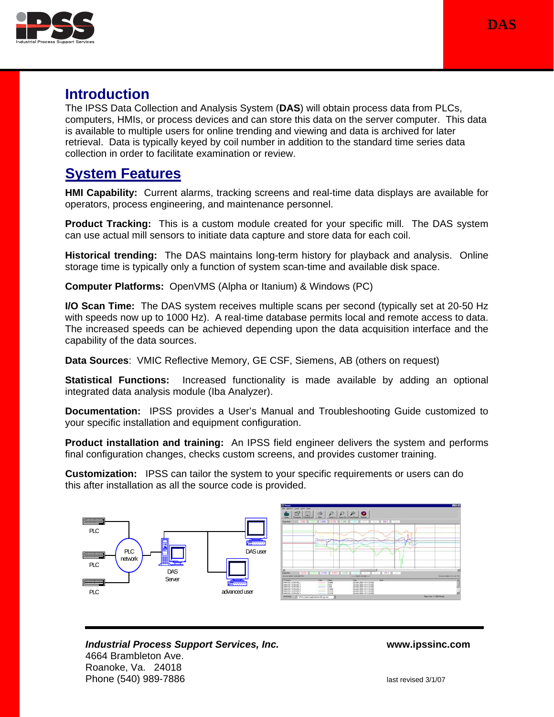



# **Introduction**

The IPSS Data Collection and Analysis System (**DAS**) will obtain process data from PLCs, computers, HMIs, or process devices and can store this data on the server computer. This data is available to multiple users for online trending and viewing and data is archived for later retrieval. Data is typically keyed by coil number in addition to the standard time series data collection in order to facilitate examination or review.

# **System Features**

**HMI Capability:** Current alarms, tracking screens and real-time data displays are available for operators, process engineering, and maintenance personnel.

**Product Tracking:** This is a custom module created for your specific mill. The DAS system can use actual mill sensors to initiate data capture and store data for each coil.

**Historical trending:** The DAS maintains long-term history for playback and analysis. Online storage time is typically only a function of system scan-time and available disk space.

**Computer Platforms:** OpenVMS (Alpha or Itanium) & Windows (PC)

**I/O Scan Time:** The DAS system receives multiple scans per second (typically set at 20-50 Hz with speeds now up to 1000 Hz). A real-time database permits local and remote access to data. The increased speeds can be achieved depending upon the data acquisition interface and the capability of the data sources.

**Data Sources**: VMIC Reflective Memory, GE CSF, Siemens, AB (others on request)

**Statistical Functions:** Increased functionality is made available by adding an optional integrated data analysis module (Iba Analyzer).

**Documentation:** IPSS provides a User's Manual and Troubleshooting Guide customized to your specific installation and equipment configuration.

**Product installation and training:** An IPSS field engineer delivers the system and performs final configuration changes, checks custom screens, and provides customer training.

**Customization:** IPSS can tailor the system to your specific requirements or users can do this after installation as all the source code is provided.

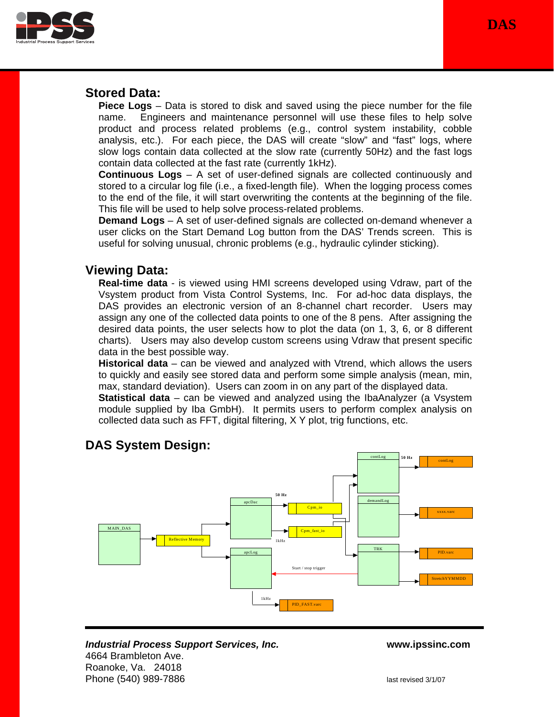**DAS**



## **Stored Data:**

**Piece Logs** – Data is stored to disk and saved using the piece number for the file name. Engineers and maintenance personnel will use these files to help solve product and process related problems (e.g., control system instability, cobble analysis, etc.). For each piece, the DAS will create "slow" and "fast" logs, where slow logs contain data collected at the slow rate (currently 50Hz) and the fast logs contain data collected at the fast rate (currently 1kHz).

**Continuous Logs** – A set of user-defined signals are collected continuously and stored to a circular log file (i.e., a fixed-length file). When the logging process comes to the end of the file, it will start overwriting the contents at the beginning of the file. This file will be used to help solve process-related problems.

**Demand Logs** – A set of user-defined signals are collected on-demand whenever a user clicks on the Start Demand Log button from the DAS' Trends screen. This is useful for solving unusual, chronic problems (e.g., hydraulic cylinder sticking).

# **Viewing Data:**

**Real-time data** - is viewed using HMI screens developed using Vdraw, part of the Vsystem product from Vista Control Systems, Inc. For ad-hoc data displays, the DAS provides an electronic version of an 8-channel chart recorder. Users may assign any one of the collected data points to one of the 8 pens. After assigning the desired data points, the user selects how to plot the data (on 1, 3, 6, or 8 different charts). Users may also develop custom screens using Vdraw that present specific data in the best possible way.

**Historical data** – can be viewed and analyzed with Vtrend, which allows the users to quickly and easily see stored data and perform some simple analysis (mean, min, max, standard deviation). Users can zoom in on any part of the displayed data.

**Statistical data** – can be viewed and analyzed using the IbaAnalyzer (a Vsystem module supplied by Iba GmbH). It permits users to perform complex analysis on collected data such as FFT, digital filtering, X Y plot, trig functions, etc.

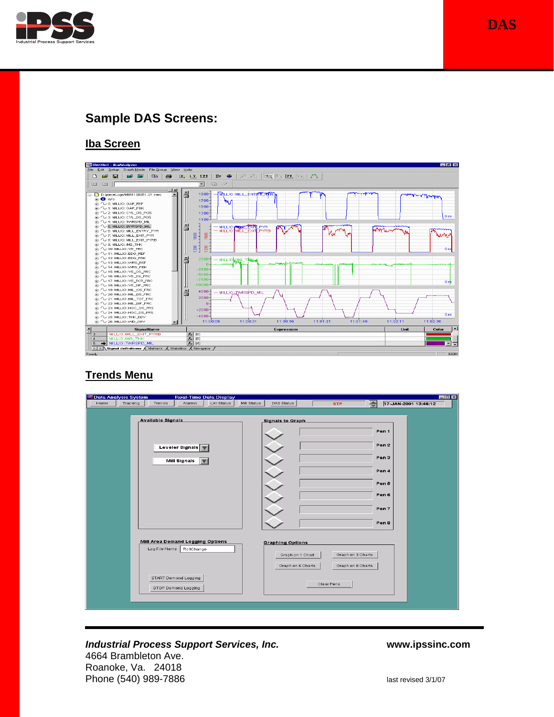

# **Sample DAS Screens:**

#### **Iba Screen**



### **Trends Menu**

| $\Box$ o $\times$<br>Data Analysis System<br><b>Real-Time Data Display</b><br>Tracking<br>Lvir Status<br>$\Rightarrow$<br>Home<br>Alarms<br>DAS Status<br>17-JAN-2001 13:46:12<br>Trends<br>Mill Status<br><b>STP</b> |                                                                                                            |
|-----------------------------------------------------------------------------------------------------------------------------------------------------------------------------------------------------------------------|------------------------------------------------------------------------------------------------------------|
| <b>Available Signals</b>                                                                                                                                                                                              | <b>Signals to Graph</b><br>Pen 1                                                                           |
| Leveler Signals V                                                                                                                                                                                                     | Pen <sub>2</sub>                                                                                           |
| Mill Signals                                                                                                                                                                                                          | Pen 3<br>Pen 4                                                                                             |
|                                                                                                                                                                                                                       | Pen 5<br>Pen 6                                                                                             |
|                                                                                                                                                                                                                       | Pen 7                                                                                                      |
|                                                                                                                                                                                                                       | Pen 8                                                                                                      |
| Mill Area Demand Logging Options<br>Log File Name<br>RollChange                                                                                                                                                       | <b>Graphing Options</b><br>Graph on 3 Charts<br>Graph on 1 Chart<br>Graph on 6 Charts<br>Graph on 8 Charts |
| START Demand Logging<br>STOP Demand Logging                                                                                                                                                                           | Clear Pens                                                                                                 |
|                                                                                                                                                                                                                       |                                                                                                            |